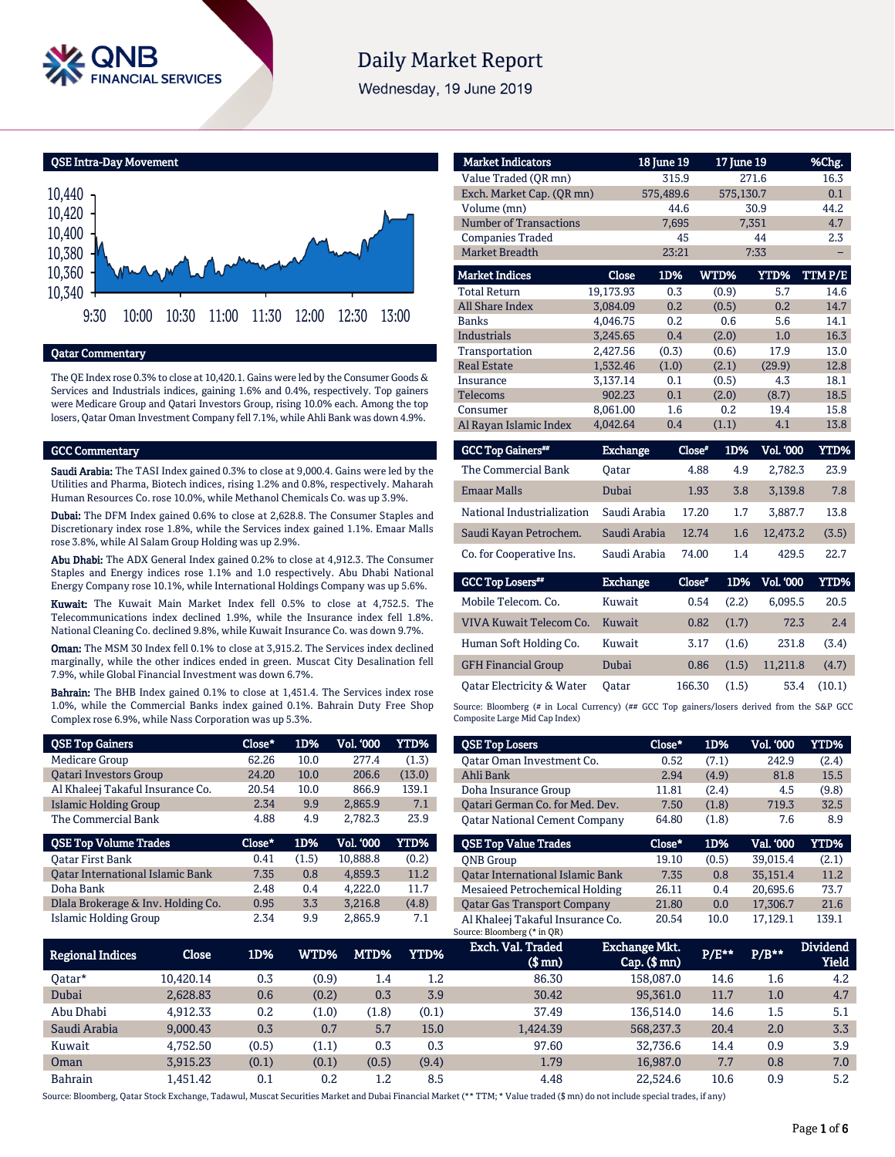

# **Daily Market Report**

Wednesday, 19 June 2019

QSE Intra-Day Movement



## Qatar Commentary

The QE Index rose 0.3% to close at 10,420.1. Gains were led by the Consumer Goods & Services and Industrials indices, gaining 1.6% and 0.4%, respectively. Top gainers were Medicare Group and Qatari Investors Group, rising 10.0% each. Among the top losers, Qatar Oman Investment Company fell 7.1%, while Ahli Bank was down 4.9%.

## GCC Commentary

Saudi Arabia: The TASI Index gained 0.3% to close at 9,000.4. Gains were led by the Utilities and Pharma, Biotech indices, rising 1.2% and 0.8%, respectively. Maharah Human Resources Co. rose 10.0%, while Methanol Chemicals Co. was up 3.9%.

Dubai: The DFM Index gained 0.6% to close at 2,628.8. The Consumer Staples and Discretionary index rose 1.8%, while the Services index gained 1.1%. Emaar Malls rose 3.8%, while Al Salam Group Holding was up 2.9%.

Abu Dhabi: The ADX General Index gained 0.2% to close at 4,912.3. The Consumer Staples and Energy indices rose 1.1% and 1.0 respectively. Abu Dhabi National Energy Company rose 10.1%, while International Holdings Company was up 5.6%.

Kuwait: The Kuwait Main Market Index fell 0.5% to close at 4,752.5. The Telecommunications index declined 1.9%, while the Insurance index fell 1.8%. National Cleaning Co. declined 9.8%, while Kuwait Insurance Co. was down 9.7%.

Oman: The MSM 30 Index fell 0.1% to close at 3,915.2. The Services index declined marginally, while the other indices ended in green. Muscat City Desalination fell 7.9%, while Global Financial Investment was down 6.7%.

Bahrain: The BHB Index gained 0.1% to close at 1,451.4. The Services index rose 1.0%, while the Commercial Banks index gained 0.1%. Bahrain Duty Free Shop Complex rose 6.9%, while Nass Corporation was up 5.3%.

| <b>QSE Top Gainers</b>                  | Close* | 1D%   | Vol. '000        | <b>YTD%</b> |
|-----------------------------------------|--------|-------|------------------|-------------|
| Medicare Group                          | 62.26  | 10.0  | 2.77.4           | (1.3)       |
| <b>Oatari Investors Group</b>           | 24.20  | 10.0  | 206.6            | (13.0)      |
| Al Khaleej Takaful Insurance Co.        | 20.54  | 10.0  | 866.9            | 139.1       |
| Islamic Holding Group                   | 2.34   | 9.9   | 2,865.9          | 7.1         |
| The Commercial Bank                     | 4.88   | 4.9   | 2,782.3          | 23.9        |
|                                         |        |       |                  |             |
| <b>QSE Top Volume Trades</b>            | Close* | 1D%   | <b>Vol. '000</b> | YTD%        |
| <b>Oatar First Bank</b>                 | 0.41   | (1.5) | 10,888.8         | (0.2)       |
| <b>Oatar International Islamic Bank</b> | 7.35   | 0.8   | 4,859.3          | 11.2        |
| Doha Bank                               | 2.48   | 0.4   | 4,222.0          | 11.7        |
| Dlala Brokerage & Inv. Holding Co.      | 0.95   | 3.3   | 3,216.8          | (4.8)       |

| <b>Market Indicators</b>      |           | 18 June 19 | 17 June 19         |             | %Chg.                  |
|-------------------------------|-----------|------------|--------------------|-------------|------------------------|
| Value Traded (OR mn)          |           | 315.9      |                    | 271.6       | 16.3                   |
| Exch. Market Cap. (OR mn)     |           | 575,489.6  |                    | 575,130.7   | 0.1                    |
| Volume (mn)                   |           | 44.6       |                    | 30.9        | 44.2                   |
| <b>Number of Transactions</b> |           | 7,695      |                    | 7,351       | 4.7                    |
| <b>Companies Traded</b>       |           | 45         |                    | 44          | 2.3                    |
| <b>Market Breadth</b>         |           | 23:21      |                    | 7:33        |                        |
| <b>Market Indices</b>         | Close     | 1D%        | WTD%               | YTD%        | TTMP/E                 |
| <b>Total Return</b>           | 19,173.93 | 0.3        | (0.9)              | 5.7         | 14.6                   |
| <b>All Share Index</b>        | 3.084.09  | 0.2        | (0.5)              | 0.2         | 14.7                   |
| <b>Banks</b>                  | 4.046.75  | 0.2        | 0.6                | 5.6         | 14.1                   |
| <b>Industrials</b>            | 3.245.65  | 0.4        | (2.0)              | 1.0         | 16.3                   |
| Transportation                | 2,427.56  | (0.3)      | (0.6)              | 17.9        | 13.0                   |
| <b>Real Estate</b>            | 1,532.46  | (1.0)      | (2.1)              | (29.9)      | 12.8                   |
| Insurance                     | 3,137.14  | 0.1        | (0.5)              | 4.3         | 18.1                   |
| <b>Telecoms</b>               | 902.23    | 0.1        | (2.0)              | (8.7)       | 18.5                   |
| Consumer                      | 8,061.00  | 1.6        | 0.2                | 19.4        | 15.8                   |
| Al Rayan Islamic Index        | 4,042.64  | 0.4        | (1.1)              | 4.1         | 13.8                   |
|                               | . .       |            | ~ *<br><b>STAL</b> | $32.1$ inna | <b><i>EXEMPLAY</i></b> |

| <b>GCC Top Gainers</b> <sup>##</sup> | <b>Exchange</b> | Close* | 1D% | <b>Vol. '000</b> | YTD%  |
|--------------------------------------|-----------------|--------|-----|------------------|-------|
| The Commercial Bank                  | Oatar           | 4.88   | 4.9 | 2.782.3          | 23.9  |
| <b>Emaar Malls</b>                   | Dubai           | 1.93   | 3.8 | 3.139.8          | 7.8   |
| National Industrialization           | Saudi Arabia    | 17.20  | 1.7 | 3.887.7          | 13.8  |
| Saudi Kayan Petrochem.               | Saudi Arabia    | 12.74  | 1.6 | 12.473.2         | (3.5) |
| Co. for Cooperative Ins.             | Saudi Arabia    | 74.00  | 1.4 | 429.5            | 22.7  |
|                                      |                 |        |     |                  |       |

| <b>GCC Top Losers**</b>    | <b>Exchange</b> | Close* | 1D%   | Vol. '000 | YTD%   |
|----------------------------|-----------------|--------|-------|-----------|--------|
| Mobile Telecom. Co.        | Kuwait          | 0.54   | (2.2) | 6.095.5   | 20.5   |
| VIVA Kuwait Telecom Co.    | Kuwait          | 0.82   | (1.7) | 72.3      | 2.4    |
| Human Soft Holding Co.     | Kuwait          | 3.17   | (1.6) | 231.8     | (3.4)  |
| <b>GFH Financial Group</b> | Dubai           | 0.86   | (1.5) | 11.211.8  | (4.7)  |
| Oatar Electricity & Water  | Oatar           | 166.30 | (1.5) | 53.4      | (10.1) |

Source: Bloomberg (# in Local Currency) (## GCC Top gainers/losers derived from the S&P GCC Composite Large Mid Cap Index)

| <b>QSE Top Losers</b>                   | Close* | 1D%   | <b>Vol. '000</b> | YTD%  |
|-----------------------------------------|--------|-------|------------------|-------|
| Oatar Oman Investment Co.               | 0.52   | (7.1) | 242.9            | (2.4) |
| Ahli Bank                               | 2.94   | (4.9) | 81.8             | 15.5  |
| Doha Insurance Group                    | 11.81  | (2.4) | 4.5              | (9.8) |
| Oatari German Co. for Med. Dev.         | 7.50   | (1.8) | 719.3            | 32.5  |
| <b>Oatar National Cement Company</b>    | 64.80  | (1.8) | 7.6              | 8.9   |
|                                         |        |       |                  |       |
|                                         |        |       |                  |       |
| <b>QSE Top Value Trades</b>             | Close* | 1D%   | Val. '000        | YTD%  |
| <b>ONB</b> Group                        | 19.10  | (0.5) | 39.015.4         | (2.1) |
| <b>Oatar International Islamic Bank</b> | 7.35   | 0.8   | 35.151.4         | 11.2  |
| Mesaieed Petrochemical Holding          | 26.11  | 0.4   | 20.695.6         | 73.7  |
| <b>Oatar Gas Transport Company</b>      | 21.80  | 0.0   | 17,306.7         | 21.6  |

| Regional Indices | Close     | 1D%   | WTD%' | MTD%  | YTD%  | Exch. Val. Traded<br>(\$ mn) | Exchange Mkt.<br>$Cap.$ ( $$rm$ ) | $P/E***$ | $P/B***$ | <b>Dividend</b><br><b>Yield</b> |
|------------------|-----------|-------|-------|-------|-------|------------------------------|-----------------------------------|----------|----------|---------------------------------|
| 0atar*           | 10.420.14 | 0.3   | (0.9) | 1.4   | 1.2   | 86.30                        | 158,087.0                         | 14.6     | 1.6      | 4.2                             |
| Dubai            | 2.628.83  | 0.6   | (0.2) | 0.3   | 3.9   | 30.42                        | 95.361.0                          | 11.7     | 1.0      | 4.7                             |
| Abu Dhabi        | 4.912.33  | 0.2   | (1.0) | (1.8) | (0.1) | 37.49                        | 136.514.0                         | 14.6     | 1.5      | 5.1                             |
| Saudi Arabia     | 9.000.43  | 0.3   | 0.7   | 5.7   | 15.0  | 1,424.39                     | 568,237.3                         | 20.4     | 2.0      | 3.3                             |
| Kuwait           | 4.752.50  | (0.5) | (1.1) | 0.3   | 0.3   | 97.60                        | 32.736.6                          | 14.4     | 0.9      | 3.9                             |
| Oman             | 3,915.23  | (0.1) | (0.1) | (0.5) | (9.4) | 1.79                         | 16.987.0                          | 7.7      | 0.8      | 7.0                             |
| <b>Bahrain</b>   | .451.42   | 0.1   | 0.2   | 1.2   | 8.5   | 4.48                         | 22.524.6                          | 10.6     | 0.9      | 5.2                             |

Source: Bloomberg, Qatar Stock Exchange, Tadawul, Muscat Securities Market and Dubai Financial Market (\*\* TTM; \* Value traded (\$ mn) do not include special trades, if any)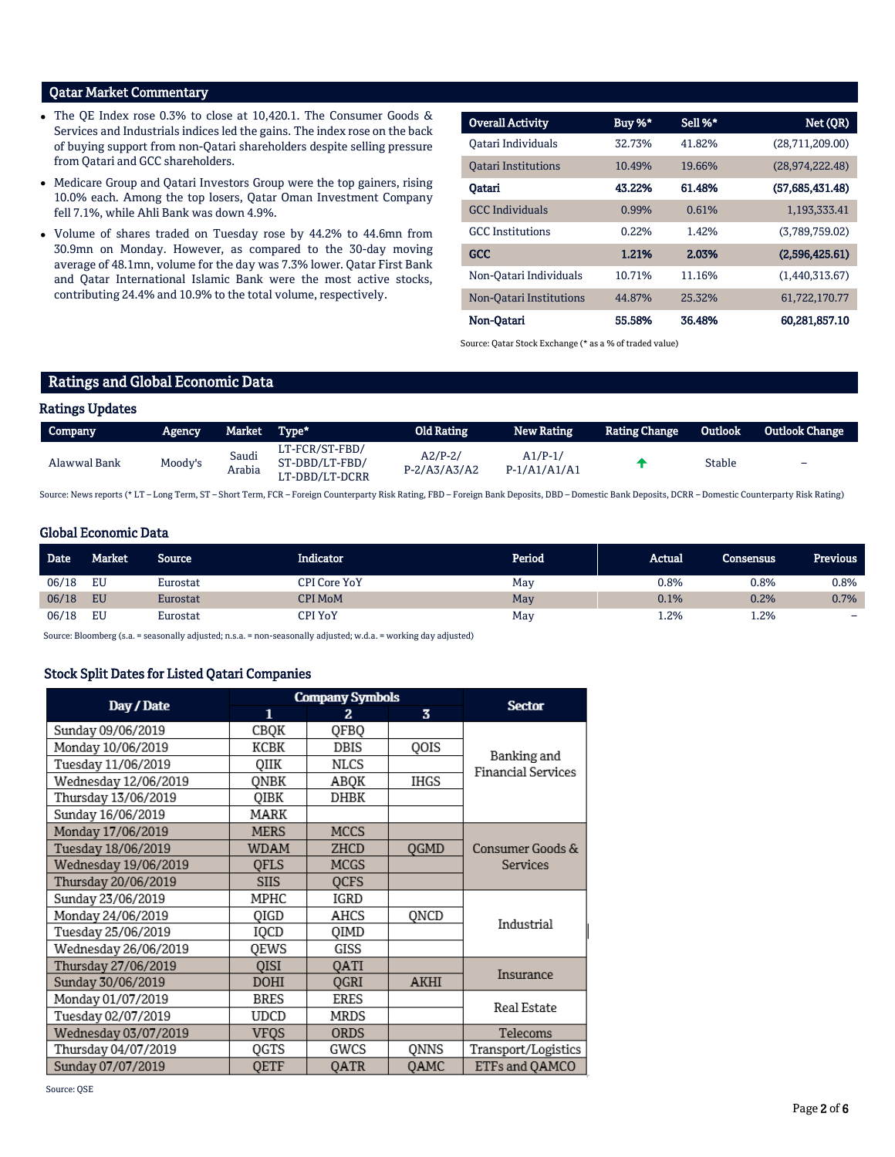## Qatar Market Commentary

- The QE Index rose 0.3% to close at 10,420.1. The Consumer Goods & Services and Industrials indices led the gains. The index rose on the back of buying support from non-Qatari shareholders despite selling pressure from Qatari and GCC shareholders.
- Medicare Group and Qatari Investors Group were the top gainers, rising 10.0% each. Among the top losers, Qatar Oman Investment Company fell 7.1%, while Ahli Bank was down 4.9%.
- Volume of shares traded on Tuesday rose by 44.2% to 44.6mn from 30.9mn on Monday. However, as compared to the 30-day moving average of 48.1mn, volume for the day was 7.3% lower. Qatar First Bank and Qatar International Islamic Bank were the most active stocks, contributing 24.4% and 10.9% to the total volume, respectively.

| <b>Overall Activity</b>    | Buy $%^*$ | Sell %* | Net (QR)           |
|----------------------------|-----------|---------|--------------------|
| Oatari Individuals         | 32.73%    | 41.82%  | (28,711,209.00)    |
| <b>Oatari Institutions</b> | 10.49%    | 19.66%  | (28, 974, 222, 48) |
| Oatari                     | 43.22%    | 61.48%  | (57,685,431.48)    |
| <b>GCC</b> Individuals     | 0.99%     | 0.61%   | 1,193,333.41       |
| <b>GCC</b> Institutions    | 0.22%     | 1.42%   | (3,789,759.02)     |
| <b>GCC</b>                 | 1.21%     | 2.03%   | (2,596,425.61)     |
| Non-Oatari Individuals     | 10.71%    | 11.16%  | (1,440,313.67)     |
| Non-Oatari Institutions    | 44.87%    | 25.32%  | 61,722,170.77      |
| Non-Qatari                 | 55.58%    | 36.48%  | 60.281,857.10      |

Source: Qatar Stock Exchange (\* as a % of traded value)

## Ratings and Global Economic Data

| <b>Ratings Updates</b> |         |                 |                                                    |                               |                             |                      |         |                       |
|------------------------|---------|-----------------|----------------------------------------------------|-------------------------------|-----------------------------|----------------------|---------|-----------------------|
| Company                | Agency  | Market Type*    |                                                    | Old Rating                    | New Rating                  | <b>Rating Change</b> | Outlook | <b>Outlook Change</b> |
| Alawwal Bank           | Moody's | Saudi<br>Arabia | LT-FCR/ST-FBD/<br>ST-DBD/LT-FBD/<br>LT-DBD/LT-DCRR | $A2/P-2/$<br>$P - 2/AS/AS/AZ$ | $A1/P-1/$<br>$P-1/A1/A1/A1$ |                      | Stable  | -                     |

Source: News reports (\* LT – Long Term, ST – Short Term, FCR – Foreign Counterparty Risk Rating, FBD – Foreign Bank Deposits, DBD – Domestic Bank Deposits, DCRR – Domestic Counterparty Risk Rating)

## Global Economic Data

| <b>Date</b> | Market | <b>Source</b> | Indicator           | Period | Actual | Consensus | <b>Previous</b>          |
|-------------|--------|---------------|---------------------|--------|--------|-----------|--------------------------|
| 06/18       | EU     | Eurostat      | <b>CPI Core YoY</b> | May    | 0.8%   | 0.8%      | 0.8%                     |
| 06/18       | EU     | Eurostat      | CPI MoM             | May    | 0.1%   | 0.2%      | 0.7%                     |
| 06/18       | EU     | Eurostat      | CPI YoY             | May    | 1.2%   | 1.2%      | $\overline{\phantom{0}}$ |

Source: Bloomberg (s.a. = seasonally adjusted; n.s.a. = non-seasonally adjusted; w.d.a. = working day adjusted)

## Stock Split Dates for Listed Qatari Companies

|                      |             | <b>Company Symbols</b> |             | <b>Sector</b>             |
|----------------------|-------------|------------------------|-------------|---------------------------|
| Day / Date           | 1           | 2                      | 3           |                           |
| Sunday 09/06/2019    | CBOK        | QFBQ                   |             |                           |
| Monday 10/06/2019    | KCBK        | DBIS                   | QOIS        | Banking and               |
| Tuesday 11/06/2019   | OIIK        | NLCS                   |             | <b>Financial Services</b> |
| Wednesday 12/06/2019 | ONBK        | ABOK                   | <b>IHGS</b> |                           |
| Thursday 13/06/2019  | QIBK        | DHBK                   |             |                           |
| Sunday 16/06/2019    | MARK        |                        |             |                           |
| Monday 17/06/2019    | <b>MERS</b> | <b>MCCS</b>            |             |                           |
| Tuesday 18/06/2019   | WDAM        | ZHCD                   | <b>OGMD</b> | Consumer Goods &          |
| Wednesday 19/06/2019 | <b>OFLS</b> | <b>MCGS</b>            |             | Services                  |
| Thursday 20/06/2019  | <b>SIIS</b> | <b>OCFS</b>            |             |                           |
| Sunday 23/06/2019    | MPHC        | IGRD                   |             |                           |
| Monday 24/06/2019    | OIGD        | AHCS                   | QNCD        | Industrial                |
| Tuesday 25/06/2019   | IQCD        | OIMD                   |             |                           |
| Wednesday 26/06/2019 | OEWS        | GISS                   |             |                           |
| Thursday 27/06/2019  | <b>OISI</b> | <b>QATI</b>            |             |                           |
| Sunday 30/06/2019    | <b>DOHI</b> | <b>OGRI</b>            | AKHI        | Insurance                 |
| Monday 01/07/2019    | <b>BRES</b> | ERES                   |             | Real Estate               |
| Tuesday 02/07/2019   | UDCD        | MRDS                   |             |                           |
| Wednesday 03/07/2019 | VFQS        | <b>ORDS</b>            |             | Telecoms                  |
| Thursday 04/07/2019  | OGTS        | GWCS                   | ONNS        | Transport/Logistics       |
| Sunday 07/07/2019    | OETF        | OATR                   | OAMC        | ETFs and QAMCO            |

Source: QSE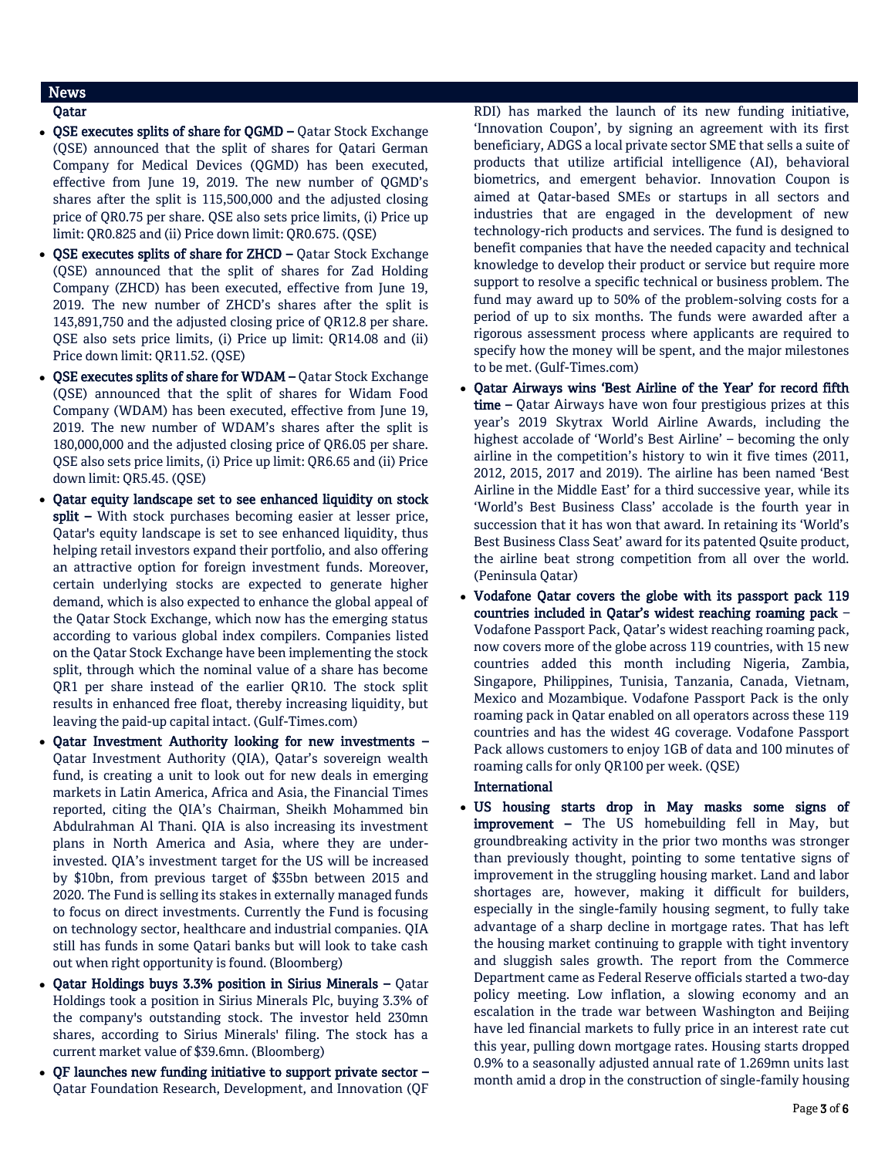## News

- Qatar
- OSE executes splits of share for OGMD Qatar Stock Exchange (QSE) announced that the split of shares for Qatari German Company for Medical Devices (QGMD) has been executed, effective from June 19, 2019. The new number of QGMD's shares after the split is 115,500,000 and the adjusted closing price of QR0.75 per share. QSE also sets price limits, (i) Price up limit: QR0.825 and (ii) Price down limit: QR0.675. (QSE)
- QSE executes splits of share for ZHCD Qatar Stock Exchange (QSE) announced that the split of shares for Zad Holding Company (ZHCD) has been executed, effective from June 19, 2019. The new number of ZHCD's shares after the split is 143,891,750 and the adjusted closing price of QR12.8 per share. QSE also sets price limits, (i) Price up limit: QR14.08 and (ii) Price down limit: QR11.52. (QSE)
- QSE executes splits of share for WDAM Qatar Stock Exchange (QSE) announced that the split of shares for Widam Food Company (WDAM) has been executed, effective from June 19, 2019. The new number of WDAM's shares after the split is 180,000,000 and the adjusted closing price of QR6.05 per share. QSE also sets price limits, (i) Price up limit: QR6.65 and (ii) Price down limit: QR5.45. (QSE)
- Qatar equity landscape set to see enhanced liquidity on stock split – With stock purchases becoming easier at lesser price, Qatar's equity landscape is set to see enhanced liquidity, thus helping retail investors expand their portfolio, and also offering an attractive option for foreign investment funds. Moreover, certain underlying stocks are expected to generate higher demand, which is also expected to enhance the global appeal of the Qatar Stock Exchange, which now has the emerging status according to various global index compilers. Companies listed on the Qatar Stock Exchange have been implementing the stock split, through which the nominal value of a share has become QR1 per share instead of the earlier QR10. The stock split results in enhanced free float, thereby increasing liquidity, but leaving the paid-up capital intact. (Gulf-Times.com)
- Qatar Investment Authority looking for new investments Qatar Investment Authority (QIA), Qatar's sovereign wealth fund, is creating a unit to look out for new deals in emerging markets in Latin America, Africa and Asia, the Financial Times reported, citing the QIA's Chairman, Sheikh Mohammed bin Abdulrahman Al Thani. QIA is also increasing its investment plans in North America and Asia, where they are underinvested. QIA's investment target for the US will be increased by \$10bn, from previous target of \$35bn between 2015 and 2020. The Fund is selling its stakes in externally managed funds to focus on direct investments. Currently the Fund is focusing on technology sector, healthcare and industrial companies. QIA still has funds in some Qatari banks but will look to take cash out when right opportunity is found. (Bloomberg)
- Qatar Holdings buys 3.3% position in Sirius Minerals Qatar Holdings took a position in Sirius Minerals Plc, buying 3.3% of the company's outstanding stock. The investor held 230mn shares, according to Sirius Minerals' filing. The stock has a current market value of \$39.6mn. (Bloomberg)
- QF launches new funding initiative to support private sector Qatar Foundation Research, Development, and Innovation (QF

RDI) has marked the launch of its new funding initiative, 'Innovation Coupon', by signing an agreement with its first beneficiary, ADGS a local private sector SME that sells a suite of products that utilize artificial intelligence (AI), behavioral biometrics, and emergent behavior. Innovation Coupon is aimed at Qatar-based SMEs or startups in all sectors and industries that are engaged in the development of new technology-rich products and services. The fund is designed to benefit companies that have the needed capacity and technical knowledge to develop their product or service but require more support to resolve a specific technical or business problem. The fund may award up to 50% of the problem-solving costs for a period of up to six months. The funds were awarded after a rigorous assessment process where applicants are required to specify how the money will be spent, and the major milestones to be met. (Gulf-Times.com)

- Qatar Airways wins 'Best Airline of the Year' for record fifth time – Qatar Airways have won four prestigious prizes at this year's 2019 Skytrax World Airline Awards, including the highest accolade of 'World's Best Airline' – becoming the only airline in the competition's history to win it five times (2011, 2012, 2015, 2017 and 2019). The airline has been named 'Best Airline in the Middle East' for a third successive year, while its 'World's Best Business Class' accolade is the fourth year in succession that it has won that award. In retaining its 'World's Best Business Class Seat' award for its patented Qsuite product, the airline beat strong competition from all over the world. (Peninsula Qatar)
- Vodafone Qatar covers the globe with its passport pack 119 countries included in Qatar's widest reaching roaming pack – Vodafone Passport Pack, Qatar's widest reaching roaming pack, now covers more of the globe across 119 countries, with 15 new countries added this month including Nigeria, Zambia, Singapore, Philippines, Tunisia, Tanzania, Canada, Vietnam, Mexico and Mozambique. Vodafone Passport Pack is the only roaming pack in Qatar enabled on all operators across these 119 countries and has the widest 4G coverage. Vodafone Passport Pack allows customers to enjoy 1GB of data and 100 minutes of roaming calls for only QR100 per week. (QSE)

## International

 US housing starts drop in May masks some signs of improvement - The US homebuilding fell in May, but groundbreaking activity in the prior two months was stronger than previously thought, pointing to some tentative signs of improvement in the struggling housing market. Land and labor shortages are, however, making it difficult for builders, especially in the single-family housing segment, to fully take advantage of a sharp decline in mortgage rates. That has left the housing market continuing to grapple with tight inventory and sluggish sales growth. The report from the Commerce Department came as Federal Reserve officials started a two-day policy meeting. Low inflation, a slowing economy and an escalation in the trade war between Washington and Beijing have led financial markets to fully price in an interest rate cut this year, pulling down mortgage rates. Housing starts dropped 0.9% to a seasonally adjusted annual rate of 1.269mn units last month amid a drop in the construction of single-family housing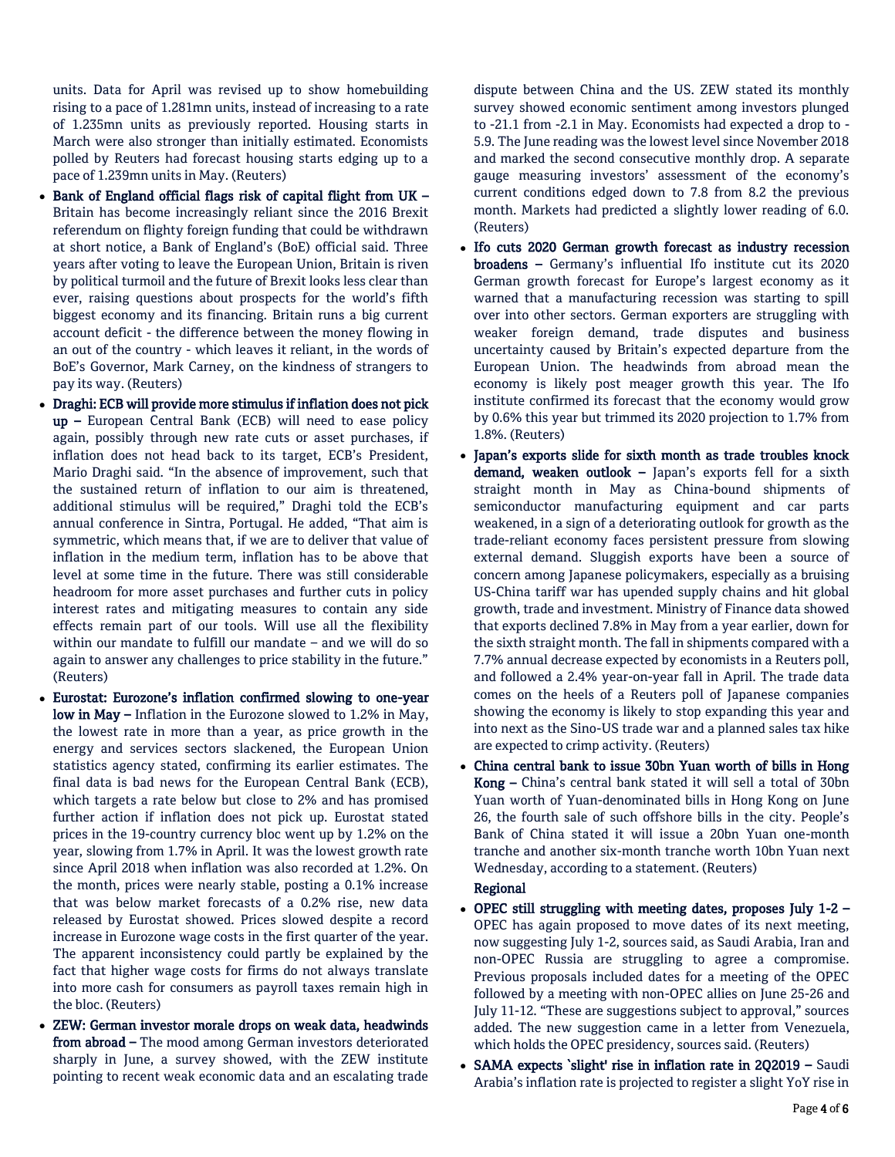units. Data for April was revised up to show homebuilding rising to a pace of 1.281mn units, instead of increasing to a rate of 1.235mn units as previously reported. Housing starts in March were also stronger than initially estimated. Economists polled by Reuters had forecast housing starts edging up to a pace of 1.239mn units in May. (Reuters)

- $\bullet$  Bank of England official flags risk of capital flight from UK Britain has become increasingly reliant since the 2016 Brexit referendum on flighty foreign funding that could be withdrawn at short notice, a Bank of England's (BoE) official said. Three years after voting to leave the European Union, Britain is riven by political turmoil and the future of Brexit looks less clear than ever, raising questions about prospects for the world's fifth biggest economy and its financing. Britain runs a big current account deficit - the difference between the money flowing in an out of the country - which leaves it reliant, in the words of BoE's Governor, Mark Carney, on the kindness of strangers to pay its way. (Reuters)
- Draghi: ECB will provide more stimulus if inflation does not pick up – European Central Bank (ECB) will need to ease policy again, possibly through new rate cuts or asset purchases, if inflation does not head back to its target, ECB's President, Mario Draghi said. "In the absence of improvement, such that the sustained return of inflation to our aim is threatened, additional stimulus will be required," Draghi told the ECB's annual conference in Sintra, Portugal. He added, "That aim is symmetric, which means that, if we are to deliver that value of inflation in the medium term, inflation has to be above that level at some time in the future. There was still considerable headroom for more asset purchases and further cuts in policy interest rates and mitigating measures to contain any side effects remain part of our tools. Will use all the flexibility within our mandate to fulfill our mandate – and we will do so again to answer any challenges to price stability in the future." (Reuters)
- Eurostat: Eurozone's inflation confirmed slowing to one-year low in May – Inflation in the Eurozone slowed to 1.2% in May, the lowest rate in more than a year, as price growth in the energy and services sectors slackened, the European Union statistics agency stated, confirming its earlier estimates. The final data is bad news for the European Central Bank (ECB), which targets a rate below but close to 2% and has promised further action if inflation does not pick up. Eurostat stated prices in the 19-country currency bloc went up by 1.2% on the year, slowing from 1.7% in April. It was the lowest growth rate since April 2018 when inflation was also recorded at 1.2%. On the month, prices were nearly stable, posting a 0.1% increase that was below market forecasts of a 0.2% rise, new data released by Eurostat showed. Prices slowed despite a record increase in Eurozone wage costs in the first quarter of the year. The apparent inconsistency could partly be explained by the fact that higher wage costs for firms do not always translate into more cash for consumers as payroll taxes remain high in the bloc. (Reuters)
- ZEW: German investor morale drops on weak data, headwinds from abroad – The mood among German investors deteriorated sharply in June, a survey showed, with the ZEW institute pointing to recent weak economic data and an escalating trade

dispute between China and the US. ZEW stated its monthly survey showed economic sentiment among investors plunged to -21.1 from -2.1 in May. Economists had expected a drop to - 5.9. The June reading was the lowest level since November 2018 and marked the second consecutive monthly drop. A separate gauge measuring investors' assessment of the economy's current conditions edged down to 7.8 from 8.2 the previous month. Markets had predicted a slightly lower reading of 6.0. (Reuters)

- Ifo cuts 2020 German growth forecast as industry recession broadens – Germany's influential Ifo institute cut its 2020 German growth forecast for Europe's largest economy as it warned that a manufacturing recession was starting to spill over into other sectors. German exporters are struggling with weaker foreign demand, trade disputes and business uncertainty caused by Britain's expected departure from the European Union. The headwinds from abroad mean the economy is likely post meager growth this year. The Ifo institute confirmed its forecast that the economy would grow by 0.6% this year but trimmed its 2020 projection to 1.7% from 1.8%. (Reuters)
- Japan's exports slide for sixth month as trade troubles knock demand, weaken outlook – Japan's exports fell for a sixth straight month in May as China-bound shipments of semiconductor manufacturing equipment and car parts weakened, in a sign of a deteriorating outlook for growth as the trade-reliant economy faces persistent pressure from slowing external demand. Sluggish exports have been a source of concern among Japanese policymakers, especially as a bruising US-China tariff war has upended supply chains and hit global growth, trade and investment. Ministry of Finance data showed that exports declined 7.8% in May from a year earlier, down for the sixth straight month. The fall in shipments compared with a 7.7% annual decrease expected by economists in a Reuters poll, and followed a 2.4% year-on-year fall in April. The trade data comes on the heels of a Reuters poll of Japanese companies showing the economy is likely to stop expanding this year and into next as the Sino-US trade war and a planned sales tax hike are expected to crimp activity. (Reuters)
- China central bank to issue 30bn Yuan worth of bills in Hong Kong – China's central bank stated it will sell a total of 30bn Yuan worth of Yuan-denominated bills in Hong Kong on June 26, the fourth sale of such offshore bills in the city. People's Bank of China stated it will issue a 20bn Yuan one-month tranche and another six-month tranche worth 10bn Yuan next Wednesday, according to a statement. (Reuters)

## Regional

- OPEC still struggling with meeting dates, proposes July 1-2 OPEC has again proposed to move dates of its next meeting, now suggesting July 1-2, sources said, as Saudi Arabia, Iran and non-OPEC Russia are struggling to agree a compromise. Previous proposals included dates for a meeting of the OPEC followed by a meeting with non-OPEC allies on June 25-26 and July 11-12. "These are suggestions subject to approval," sources added. The new suggestion came in a letter from Venezuela, which holds the OPEC presidency, sources said. (Reuters)
- SAMA expects `slight' rise in inflation rate in 2Q2019 Saudi Arabia's inflation rate is projected to register a slight YoY rise in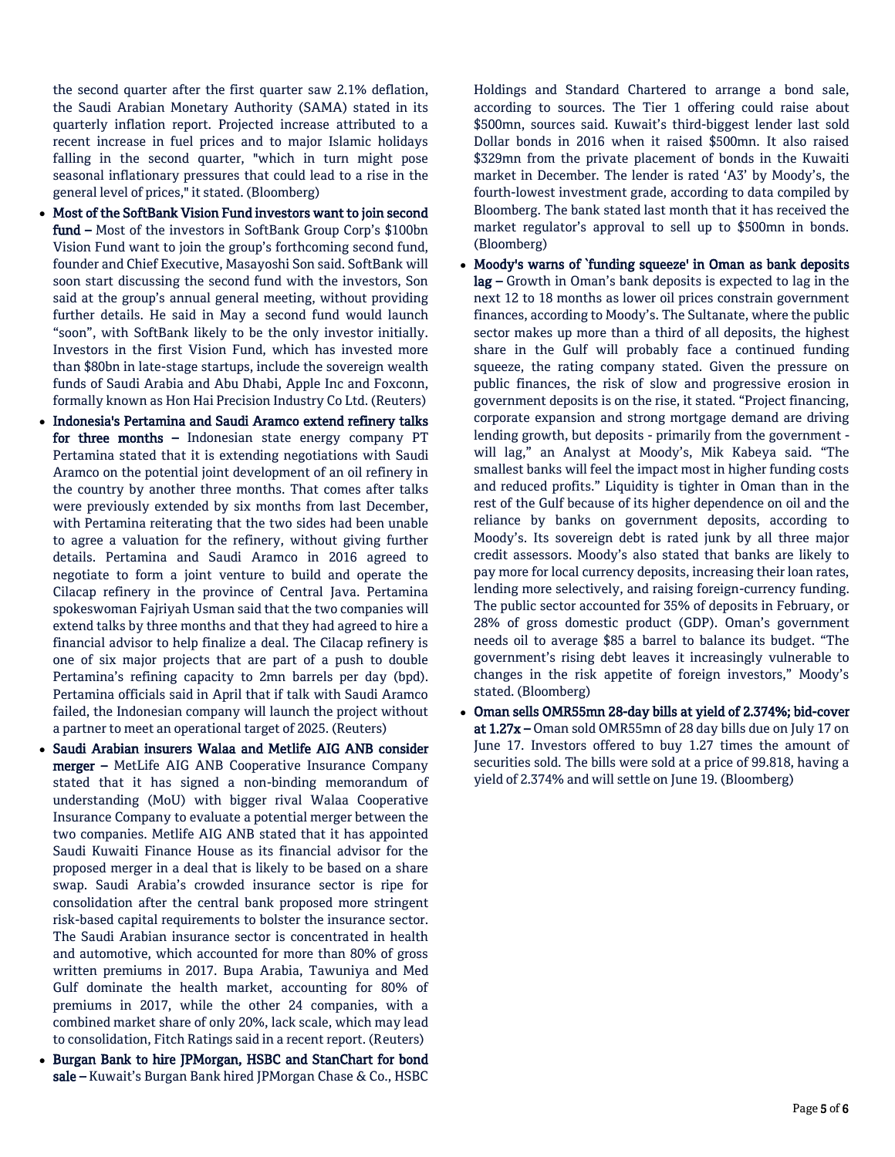the second quarter after the first quarter saw 2.1% deflation, the Saudi Arabian Monetary Authority (SAMA) stated in its quarterly inflation report. Projected increase attributed to a recent increase in fuel prices and to major Islamic holidays falling in the second quarter, "which in turn might pose seasonal inflationary pressures that could lead to a rise in the general level of prices," it stated. (Bloomberg)

- Most of the SoftBank Vision Fund investors want to join second fund – Most of the investors in SoftBank Group Corp's \$100bn Vision Fund want to join the group's forthcoming second fund, founder and Chief Executive, Masayoshi Son said. SoftBank will soon start discussing the second fund with the investors, Son said at the group's annual general meeting, without providing further details. He said in May a second fund would launch "soon", with SoftBank likely to be the only investor initially. Investors in the first Vision Fund, which has invested more than \$80bn in late-stage startups, include the sovereign wealth funds of Saudi Arabia and Abu Dhabi, Apple Inc and Foxconn, formally known as Hon Hai Precision Industry Co Ltd. (Reuters)
- Indonesia's Pertamina and Saudi Aramco extend refinery talks for three months – Indonesian state energy company PT Pertamina stated that it is extending negotiations with Saudi Aramco on the potential joint development of an oil refinery in the country by another three months. That comes after talks were previously extended by six months from last December, with Pertamina reiterating that the two sides had been unable to agree a valuation for the refinery, without giving further details. Pertamina and Saudi Aramco in 2016 agreed to negotiate to form a joint venture to build and operate the Cilacap refinery in the province of Central Java. Pertamina spokeswoman Fajriyah Usman said that the two companies will extend talks by three months and that they had agreed to hire a financial advisor to help finalize a deal. The Cilacap refinery is one of six major projects that are part of a push to double Pertamina's refining capacity to 2mn barrels per day (bpd). Pertamina officials said in April that if talk with Saudi Aramco failed, the Indonesian company will launch the project without a partner to meet an operational target of 2025. (Reuters)
- Saudi Arabian insurers Walaa and Metlife AIG ANB consider merger – MetLife AIG ANB Cooperative Insurance Company stated that it has signed a non-binding memorandum of understanding (MoU) with bigger rival Walaa Cooperative Insurance Company to evaluate a potential merger between the two companies. Metlife AIG ANB stated that it has appointed Saudi Kuwaiti Finance House as its financial advisor for the proposed merger in a deal that is likely to be based on a share swap. Saudi Arabia's crowded insurance sector is ripe for consolidation after the central bank proposed more stringent risk-based capital requirements to bolster the insurance sector. The Saudi Arabian insurance sector is concentrated in health and automotive, which accounted for more than 80% of gross written premiums in 2017. Bupa Arabia, Tawuniya and Med Gulf dominate the health market, accounting for 80% of premiums in 2017, while the other 24 companies, with a combined market share of only 20%, lack scale, which may lead to consolidation, Fitch Ratings said in a recent report. (Reuters)
- Burgan Bank to hire JPMorgan, HSBC and StanChart for bond sale - Kuwait's Burgan Bank hired JPMorgan Chase & Co., HSBC

Holdings and Standard Chartered to arrange a bond sale, according to sources. The Tier 1 offering could raise about \$500mn, sources said. Kuwait's third-biggest lender last sold Dollar bonds in 2016 when it raised \$500mn. It also raised \$329mn from the private placement of bonds in the Kuwaiti market in December. The lender is rated 'A3' by Moody's, the fourth-lowest investment grade, according to data compiled by Bloomberg. The bank stated last month that it has received the market regulator's approval to sell up to \$500mn in bonds. (Bloomberg)

- Moody's warns of `funding squeeze' in Oman as bank deposits  $lag - Growth$  in Oman's bank deposits is expected to lag in the next 12 to 18 months as lower oil prices constrain government finances, according to Moody's. The Sultanate, where the public sector makes up more than a third of all deposits, the highest share in the Gulf will probably face a continued funding squeeze, the rating company stated. Given the pressure on public finances, the risk of slow and progressive erosion in government deposits is on the rise, it stated. "Project financing, corporate expansion and strong mortgage demand are driving lending growth, but deposits - primarily from the government will lag," an Analyst at Moody's, Mik Kabeya said. "The smallest banks will feel the impact most in higher funding costs and reduced profits." Liquidity is tighter in Oman than in the rest of the Gulf because of its higher dependence on oil and the reliance by banks on government deposits, according to Moody's. Its sovereign debt is rated junk by all three major credit assessors. Moody's also stated that banks are likely to pay more for local currency deposits, increasing their loan rates, lending more selectively, and raising foreign-currency funding. The public sector accounted for 35% of deposits in February, or 28% of gross domestic product (GDP). Oman's government needs oil to average \$85 a barrel to balance its budget. "The government's rising debt leaves it increasingly vulnerable to changes in the risk appetite of foreign investors," Moody's stated. (Bloomberg)
- Oman sells OMR55mn 28-day bills at yield of 2.374%; bid-cover at 1.27x – Oman sold OMR55mn of 28 day bills due on July 17 on June 17. Investors offered to buy 1.27 times the amount of securities sold. The bills were sold at a price of 99.818, having a yield of 2.374% and will settle on June 19. (Bloomberg)